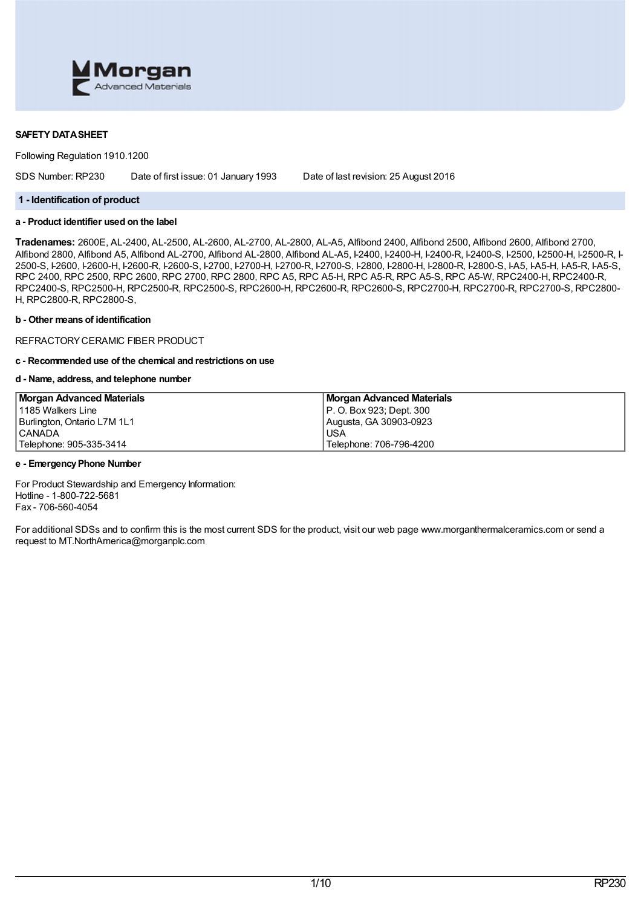

### **SAFETY DATASHEET**

Following Regulation 1910.1200

SDS Number: RP230 Date of first issue: 01 January 1993 Date of last revision: 25 August 2016

### **1 - Identification of product**

# **a - Product identifier used on the label**

**Tradenames:** 2600E, AL-2400, AL-2500, AL-2600, AL-2700, AL-2800, AL-A5, Alfibond 2400, Alfibond 2500, Alfibond 2600, Alfibond 2700, Alfibond 2800, Alfibond A5, Alfibond AL-2700, Alfibond AL-2800, Alfibond AL-A5, I-2400, I-2400-H, I-2400-A, I-2500, I-2500-H, I-2500-R, I-2500-R, I-2500-R, I-2500-R, I-2500-R, I-2500, I-2500, I-2500-R, I-2500-R, I-2500-R, 2500-S, I-2600, I-2600-H, I-2600-R, I-2600-S, I-2700, I-2700-H, I-2700-R, I-2700-S, I-2800, I-2800-H, I-2800-R, I-2800-S, I-A5, I-A5-H, I-A5-R, I-A5-S, RPC 2400, RPC 2500, RPC 2600, RPC 2700, RPC 2800, RPC A5, RPC A5-H, RPC A5-R, RPC A5-S, RPC A5-W, RPC2400-H, RPC2400-R, RPC2400-S, RPC2500-H, RPC2500-R, RPC2500-S, RPC2600-H, RPC2600-R, RPC2600-S, RPC2700-H, RPC2700-R, RPC2700-S, RPC2800- H, RPC2800-R, RPC2800-S,

#### **b - Other means of identification**

REFRACTORYCERAMIC FIBER PRODUCT

# **c - Recommended use of the chemical and restrictions on use**

#### **d - Name, address, and telephone number**

| <b>Morgan Advanced Materials</b> | <b>Morgan Advanced Materials</b> |
|----------------------------------|----------------------------------|
| l 1185 Walkers Line              | P. O. Box 923; Dept. 300         |
| Burlington, Ontario L7M 1L1      | Augusta, GA 30903-0923           |
| <b>CANADA</b>                    | <b>USA</b>                       |
| Telephone: 905-335-3414          | 'Telephone: 706-796-4200         |

#### **e - EmergencyPhone Number**

For Product Stewardship and Emergency Information: Hotline - 1-800-722-5681 Fax - 706-560-4054

For additional SDSs and to confirm this is the most current SDS for the product, visit our web page www.morganthermalceramics.com or send a request to MT.NorthAmerica@morganplc.com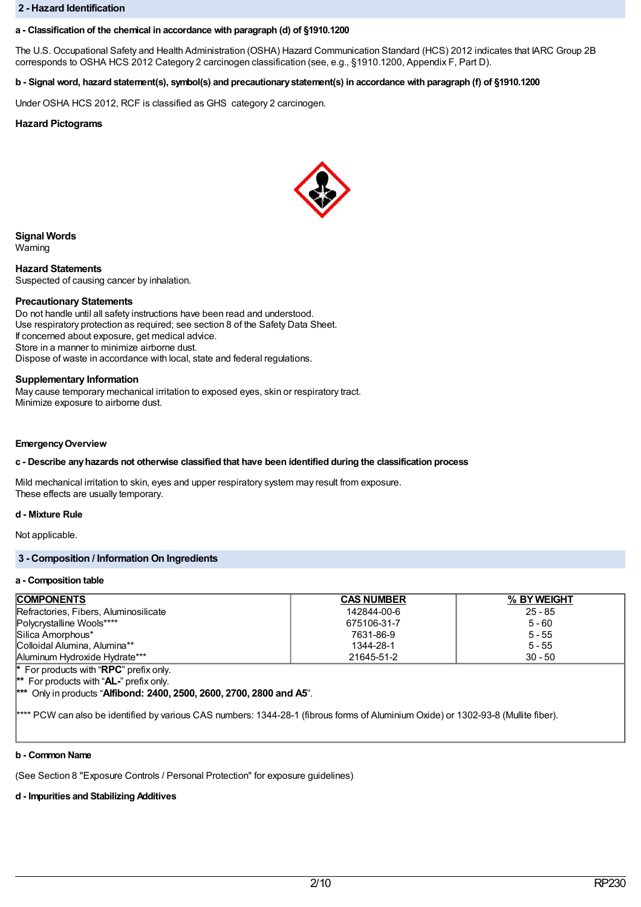#### **2 - Hazard Identification**

### **a - Classification of the chemical in accordance with paragraph (d) of §1910.1200**

The U.S. Occupational Safety and Health Administration (OSHA) Hazard Communication Standard (HCS) 2012 indicates that IARC Group 2B corresponds to OSHA HCS 2012 Category 2 carcinogen classification (see, e.g., §1910.1200, Appendix F, Part D).

# b - Signal word, hazard statement(s), symbol(s) and precautionary statement(s) in accordance with paragraph (f) of §1910.1200

Under OSHA HCS 2012, RCF is classified as GHS category 2 carcinogen.

### **Hazard Pictograms**



**Signal Words**

Warning

**Hazard Statements** Suspected of causing cancer by inhalation.

#### **Precautionary Statements**

Do not handle until all safety instructions have been read and understood. Use respiratory protection as required; see section 8 of the Safety Data Sheet. If concerned about exposure, get medical advice. Store in a manner to minimize airborne dust. Dispose of waste in accordance with local, state and federal regulations.

#### **Supplementary Information**

May cause temporary mechanical irritation to exposed eyes, skin or respiratory tract. Minimize exposure to airborne dust.

#### **EmergencyOverview**

### **c - Describe anyhazards not otherwise classified that have been identified during the classification process**

Mild mechanical irritation to skin, eyes and upper respiratory system may result from exposure. These effects are usually temporary.

### **d - Mixture Rule**

Not applicable.

# **3 - Composition / Information On Ingredients**

#### **a - Composition table**

| <b>COMPONENTS</b>                                      | <b>CAS NUMBER</b> | % BY WEIGHT |  |  |
|--------------------------------------------------------|-------------------|-------------|--|--|
| Refractories, Fibers, Aluminosilicate                  | 142844-00-6       | $25 - 85$   |  |  |
| Polycrystalline Wools****                              | 675106-31-7       | $5 - 60$    |  |  |
| Silica Amorphous*                                      | 7631-86-9         | $5 - 55$    |  |  |
| Colloidal Alumina, Alumina**                           | 1344-28-1         | $5 - 55$    |  |  |
| Aluminum Hydroxide Hydrate***                          | 21645-51-2        | $30 - 50$   |  |  |
| <b>*</b> For products with " <b>RPC</b> " prefix only. |                   |             |  |  |
| <sup>**</sup> For products with " $AL$ -" prefix only. |                   |             |  |  |
|                                                        |                   |             |  |  |

**\*\*\*** Only in products "**Alfibond: 2400, 2500, 2600, 2700, 2800 and A5**".

\*\*\*\* PCW can also be identified by various CAS numbers: 1344-28-1 (fibrous forms of Aluminium Oxide) or 1302-93-8 (Mullite fiber).

#### **b - Common Name**

(See Section 8 "Exposure Controls / Personal Protection" for exposure guidelines)

# **d - Impurities and Stabilizing Additives**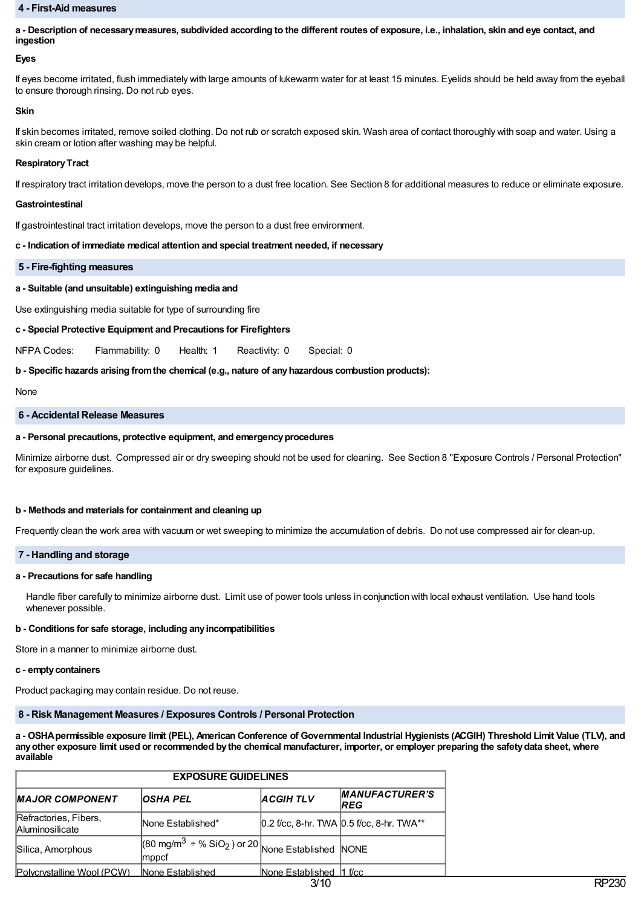#### **4 - First-Aid measures**

a - Description of necessary measures, subdivided according to the different routes of exposure, i.e., inhalation, skin and eye contact, and **ingestion**

#### **Eyes**

If eyes become irritated, flush immediately with large amounts of lukewarm water for at least 15 minutes. Eyelids should be held away from the eyeball to ensure thorough rinsing. Do not rub eyes.

#### **Skin**

If skin becomes irritated, remove soiled clothing. Do not rub or scratch exposed skin. Wash area of contact thoroughly with soap and water. Using a skin cream or lotion after washing may be helpful.

#### **RespiratoryTract**

If respiratory tract irritation develops, move the person to a dust free location. See Section 8 for additional measures to reduce or eliminate exposure.

#### **Gastrointestinal**

If gastrointestinal tract irritation develops, move the person to a dust free environment.

#### **c - Indication of immediate medical attention and special treatment needed, if necessary**

#### **5 - Fire-fighting measures**

### **a - Suitable (and unsuitable) extinguishing media and**

Use extinguishing media suitable for type of surrounding fire

### **c - Special Protective Equipment and Precautions for Firefighters**

NFPA Codes: Flammability: 0 Health: 1 Reactivity: 0 Special: 0

### **b - Specific hazards arising fromthe chemical (e.g., nature of anyhazardous combustion products):**

None

#### **6 - Accidental Release Measures**

#### **a - Personal precautions, protective equipment, and emergencyprocedures**

Minimize airborne dust. Compressed air or dry sweeping should not be used for cleaning. See Section 8 "Exposure Controls / Personal Protection" for exposure guidelines.

#### **b - Methods and materials for containment and cleaning up**

Frequently clean the work area with vacuum or wet sweeping to minimize the accumulation of debris. Do not use compressed air for clean-up.

### **7 - Handling and storage**

#### **a - Precautions for safe handling**

Handle fiber carefully to minimize airborne dust. Limit use of power tools unless in conjunction with local exhaust ventilation. Use hand tools whenever possible.

### **b - Conditions for safe storage, including anyincompatibilities**

Store in a manner to minimize airborne dust.

#### **c - emptycontainers**

Product packaging may contain residue. Do not reuse.

# **8 - Risk Management Measures / Exposures Controls / Personal Protection**

a - OSHA permissible exposure limit (PEL), American Conference of Governmental Industrial Hygienists (ACGIH) Threshold Limit Value (TLV), and any other exposure limit used or recommended by the chemical manufacturer, importer, or employer preparing the safety data sheet, where **available**

| <b>EXPOSURE GUIDELINES</b>                      |                                                                                   |                          |                                               |
|-------------------------------------------------|-----------------------------------------------------------------------------------|--------------------------|-----------------------------------------------|
| <b>IMAJOR COMPONENT</b>                         | <b>OSHA PEL</b>                                                                   | <b>ACGIHTLV</b>          | <b>MANUFACTURER'S</b><br><b>REG</b>           |
| Refractories, Fibers,<br><b>Aluminosilicate</b> | None Established*                                                                 |                          | $0.2$ f/cc, 8-hr. TWA $0.5$ f/cc, 8-hr. TWA** |
| Silica, Amorphous                               | $(80 \text{ mg/m}^3 \div \% \text{ SiO}_2)$ or 20 None Established NONE<br> mppcf |                          |                                               |
| Polycrystalline Wool (PCW)                      | None Established                                                                  | None Established 11 f/cc |                                               |
|                                                 |                                                                                   | 3/10                     |                                               |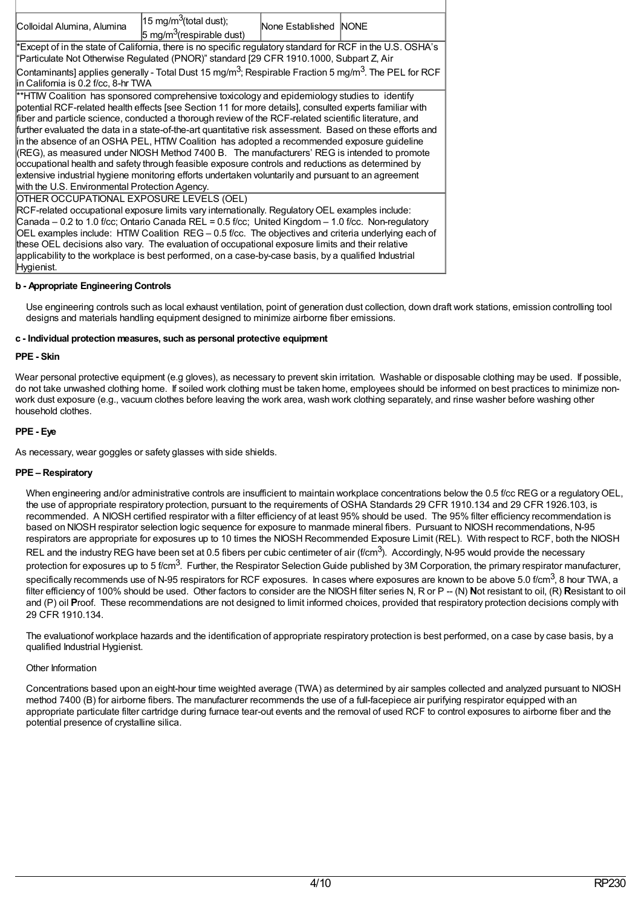| 15 mg/m <sup>3</sup> (total dust);<br>Colloidal Alumina, Alumina<br>None Established NONE<br>$5 \text{ mg/m}^3$ (respirable dust)                                     |  |  |  |  |  |  |
|-----------------------------------------------------------------------------------------------------------------------------------------------------------------------|--|--|--|--|--|--|
| Except of in the state of California, there is no specific regulatory standard for RCF in the U.S. OSHA's                                                             |  |  |  |  |  |  |
| "Particulate Not Otherwise Regulated (PNOR)" standard [29 CFR 1910.1000, Subpart Z, Air                                                                               |  |  |  |  |  |  |
| Contaminants] applies generally - Total Dust 15 mg/m <sup>3</sup> ; Respirable Fraction 5 mg/m <sup>3</sup> . The PEL for RCF<br>lin California is 0.2 f/cc, 8-hr TWA |  |  |  |  |  |  |
| **HTM Coalition has sponsored comprehensive toxicology and epidemiology studies to identify                                                                           |  |  |  |  |  |  |
| potential RCF-related health effects [see Section 11 for more details], consulted experts familiar with                                                               |  |  |  |  |  |  |
| fiber and particle science, conducted a thorough review of the RCF-related scientific literature, and                                                                 |  |  |  |  |  |  |
| further evaluated the data in a state-of-the-art quantitative risk assessment. Based on these efforts and                                                             |  |  |  |  |  |  |
| in the absence of an OSHA PEL, HTM Coalition has adopted a recommended exposure guideline                                                                             |  |  |  |  |  |  |
| (REG), as measured under NIOSH Method 7400 B. The manufacturers' REG is intended to promote                                                                           |  |  |  |  |  |  |
| occupational health and safety through feasible exposure controls and reductions as determined by                                                                     |  |  |  |  |  |  |
| extensive industrial hygiene monitoring efforts undertaken voluntarily and pursuant to an agreement                                                                   |  |  |  |  |  |  |
| with the U.S. Environmental Protection Agency.                                                                                                                        |  |  |  |  |  |  |
| OTHER OCCUPATIONAL EXPOSURE LEVELS (OEL)                                                                                                                              |  |  |  |  |  |  |
| RCF-related occupational exposure limits vary internationally. Regulatory OEL examples include:                                                                       |  |  |  |  |  |  |
| Canada - 0.2 to 1.0 f/cc; Ontario Canada REL = 0.5 f/cc; United Kingdom - 1.0 f/cc. Non-regulatory                                                                    |  |  |  |  |  |  |
| OEL examples include: HTIW Coalition REG - 0.5 f/cc. The objectives and criteria underlying each of                                                                   |  |  |  |  |  |  |
| these OEL decisions also vary. The evaluation of occupational exposure limits and their relative                                                                      |  |  |  |  |  |  |
| applicability to the workplace is best performed, on a case-by-case basis, by a qualified Industrial                                                                  |  |  |  |  |  |  |
| Hygienist.                                                                                                                                                            |  |  |  |  |  |  |

# **b - Appropriate Engineering Controls**

Use engineering controls such as local exhaust ventilation, point of generation dust collection, down draft work stations, emission controlling tool designs and materials handling equipment designed to minimize airborne fiber emissions.

#### **c - Individual protection measures, such as personal protective equipment**

### **PPE - Skin**

Wear personal protective equipment (e.g gloves), as necessary to prevent skin irritation. Washable or disposable clothing may be used. If possible, do not take unwashed clothing home. If soiled work clothing must be taken home, employees should be informed on best practices to minimize nonwork dust exposure (e.g., vacuum clothes before leaving the work area, wash work clothing separately, and rinse washer before washing other household clothes.

# **PPE - Eye**

As necessary, wear goggles or safety glasses with side shields.

### **PPE – Respiratory**

When engineering and/or administrative controls are insufficient to maintain workplace concentrations below the 0.5 f/cc REG or a regulatory OEL. the use of appropriate respiratory protection, pursuant to the requirements of OSHA Standards 29 CFR 1910.134 and 29 CFR 1926.103, is recommended. A NIOSH certified respirator with a filter efficiency of at least 95% should be used. The 95% filter efficiency recommendation is based on NIOSH respirator selection logic sequence for exposure to manmade mineral fibers. Pursuant to NIOSH recommendations, N-95 respirators are appropriate for exposures up to 10 times the NIOSH Recommended Exposure Limit (REL). With respect to RCF, both the NIOSH REL and the industry REG have been set at 0.5 fibers per cubic centimeter of air (f/cm<sup>3</sup>). Accordingly, N-95 would provide the necessary protection for exposures up to 5 f/cm<sup>3</sup>. Further, the Respirator Selection Guide published by 3M Corporation, the primary respirator manufacturer, specifically recommends use of N-95 respirators for RCF exposures. In cases where exposures are known to be above 5.0 f/cm $^3$ , 8 hour TWA, a filter efficiency of 100% should be used. Other factors to consider are the NIOSH filter series N, R or P -- (N) **N**ot resistant to oil, (R) **R**esistant to oil and (P) oil **P**roof. These recommendations are not designed to limit informed choices, provided that respiratory protection decisions comply with 29 CFR 1910.134.

The evaluationof workplace hazards and the identification of appropriate respiratory protection is best performed, on a case by case basis, by a qualified Industrial Hygienist.

### Other Information

Concentrations based upon an eight-hour time weighted average (TWA) as determined by air samples collected and analyzed pursuant to NIOSH method 7400 (B) for airborne fibers. The manufacturer recommends the use of a full-facepiece air purifying respirator equipped with an appropriate particulate filter cartridge during furnace tear-out events and the removal of used RCF to control exposures to airborne fiber and the potential presence of crystalline silica.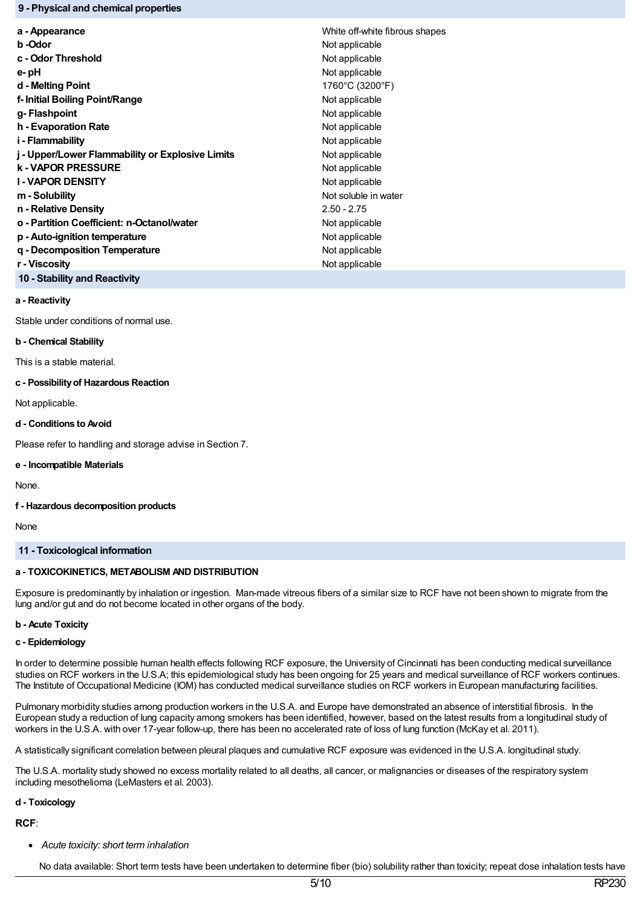### **9 - Physical and chemical properties**

| a - Appearance                                   | White off-white fibrous shapes |
|--------------------------------------------------|--------------------------------|
| b -Odor                                          | Not applicable                 |
| c - Odor Threshold                               | Not applicable                 |
| e- pH                                            | Not applicable                 |
| d - Melting Point                                | 1760°C (3200°F)                |
| f- Initial Boiling Point/Range                   | Not applicable                 |
| g- Flashpoint                                    | Not applicable                 |
| h - Evaporation Rate                             | Not applicable                 |
| i - Flammability                                 | Not applicable                 |
| j - Upper/Lower Flammability or Explosive Limits | Not applicable                 |
| <b>k - VAPOR PRESSURE</b>                        | Not applicable                 |
| <b>I-VAPOR DENSITY</b>                           | Not applicable                 |
| m - Solubility                                   | Not soluble in water           |
| n - Relative Density                             | $2.50 - 2.75$                  |
| o - Partition Coefficient: n-Octanol/water       | Not applicable                 |
| p - Auto-ignition temperature                    | Not applicable                 |
| g - Decomposition Temperature                    | Not applicable                 |
| r - Viscosity                                    | Not applicable                 |
|                                                  |                                |

# **10 - Stability and Reactivity**

# **a - Reactivity**

Stable under conditions of normal use.

### **b - Chemical Stability**

This is a stable material.

### **c - Possibilityof Hazardous Reaction**

Not applicable.

### **d - Conditions to Avoid**

Please refer to handling and storage advise in Section 7.

### **e - Incompatible Materials**

None.

### **f - Hazardous decomposition products**

None

# **11 - Toxicological information**

# **a - TOXICOKINETICS, METABOLISM AND DISTRIBUTION**

Exposure is predominantly by inhalation or ingestion. Man-made vitreous fibers of a similar size to RCF have not been shown to migrate from the lung and/or gut and do not become located in other organs of the body.

# **b - Acute Toxicity**

# **c - Epidemiology**

In order to determine possible human health effects following RCF exposure, the University of Cincinnati has been conducting medical surveillance studies on RCF workers in the U.S.A; this epidemiological study has been ongoing for 25 years and medical surveillance of RCF workers continues. The Institute of Occupational Medicine (IOM) has conducted medical surveillance studies on RCF workers in European manufacturing facilities.

Pulmonary morbidity studies among production workers in the U.S.A. and Europe have demonstrated an absence of interstitial fibrosis. In the European study a reduction of lung capacity among smokers has been identified, however, based on the latest results from a longitudinal study of workers in the U.S.A. with over 17-year follow-up, there has been no accelerated rate of loss of lung function (McKay et al. 2011).

A statistically significant correlation between pleural plaques and cumulative RCF exposure was evidenced in the U.S.A. longitudinal study.

The U.S.A. mortality study showed no excess mortality related to all deaths, all cancer, or malignancies or diseases of the respiratory system including mesothelioma (LeMasters et al. 2003).

# **d - Toxicology**

# **RCF**:

*Acute toxicity: short term inhalation*

No data available: Short term tests have been undertaken to determine fiber (bio) solubility rather than toxicity; repeat dose inhalation tests have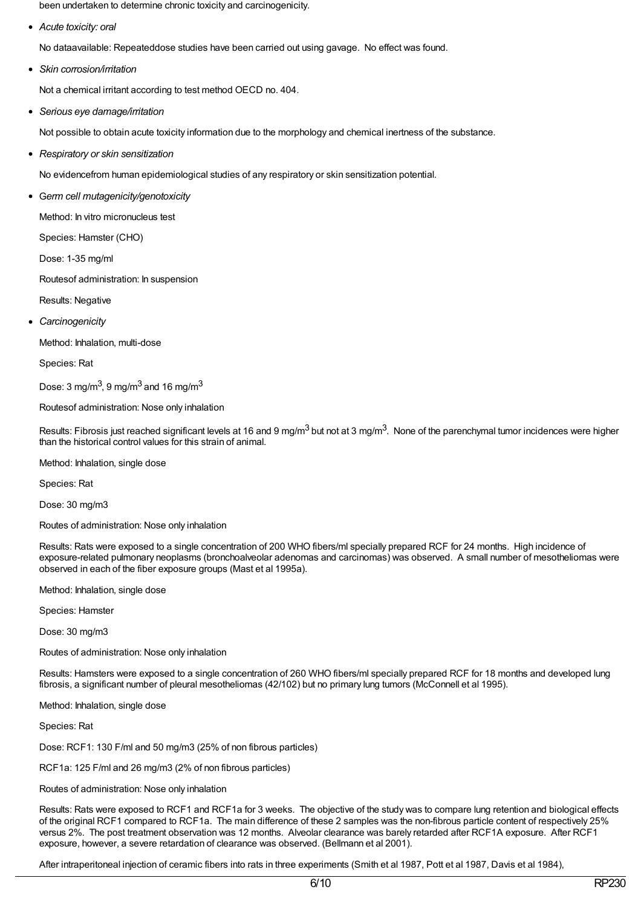been undertaken to determine chronic toxicity and carcinogenicity.

*Acute toxicity: oral*

No dataavailable: Repeateddose studies have been carried out using gavage. No effect was found.

*Skin corrosion/irritation*

Not a chemical irritant according to test method OECD no. 404.

*Serious eye damage/irritation*

Not possible to obtain acute toxicity information due to the morphology and chemical inertness of the substance.

*Respiratory or skin sensitization*

No evidencefrom human epidemiological studies of any respiratory or skin sensitization potential.

G*erm cell mutagenicity/genotoxicity*

Method: In vitro micronucleus test

Species: Hamster (CHO)

Dose: 1-35 mg/ml

Routesof administration: In suspension

- Results: Negative
- *Carcinogenicity*

Method: Inhalation, multi-dose

Species: Rat

Dose: 3 mg/m $^3$ , 9 mg/m $^3$  and 16 mg/m $^3$ 

Routesof administration: Nose only inhalation

Results: Fibrosis just reached significant levels at 16 and 9 mg/m<sup>3</sup> but not at 3 mg/m<sup>3</sup>. None of the parenchymal tumor incidences were higher than the historical control values for this strain of animal.

Method: Inhalation, single dose

Species: Rat

Dose: 30 mg/m3

Routes of administration: Nose only inhalation

Results: Rats were exposed to a single concentration of 200 WHO fibers/ml specially prepared RCF for 24 months. High incidence of exposure-related pulmonary neoplasms (bronchoalveolar adenomas and carcinomas) was observed. A small number of mesotheliomas were observed in each of the fiber exposure groups (Mast et al 1995a).

Method: Inhalation, single dose

Species: Hamster

Dose: 30 mg/m3

Routes of administration: Nose only inhalation

Results: Hamsters were exposed to a single concentration of 260 WHO fibers/ml specially prepared RCF for 18 months and developed lung fibrosis, a significant number of pleural mesotheliomas (42/102) but no primary lung tumors (McConnell et al 1995).

Method: Inhalation, single dose

Species: Rat

Dose: RCF1: 130 F/ml and 50 mg/m3 (25% of non fibrous particles)

RCF1a: 125 F/ml and 26 mg/m3 (2% of non fibrous particles)

Routes of administration: Nose only inhalation

Results: Rats were exposed to RCF1 and RCF1a for 3 weeks. The objective of the study was to compare lung retention and biological effects of the original RCF1 compared to RCF1a. The main difference of these 2 samples was the non-fibrous particle content of respectively 25% versus 2%. The post treatment observation was 12 months. Alveolar clearance was barely retarded after RCF1A exposure. After RCF1 exposure, however, a severe retardation of clearance was observed. (Bellmann et al 2001).

After intraperitoneal injection of ceramic fibers into rats in three experiments (Smith et al 1987, Pott et al 1987, Davis et al 1984),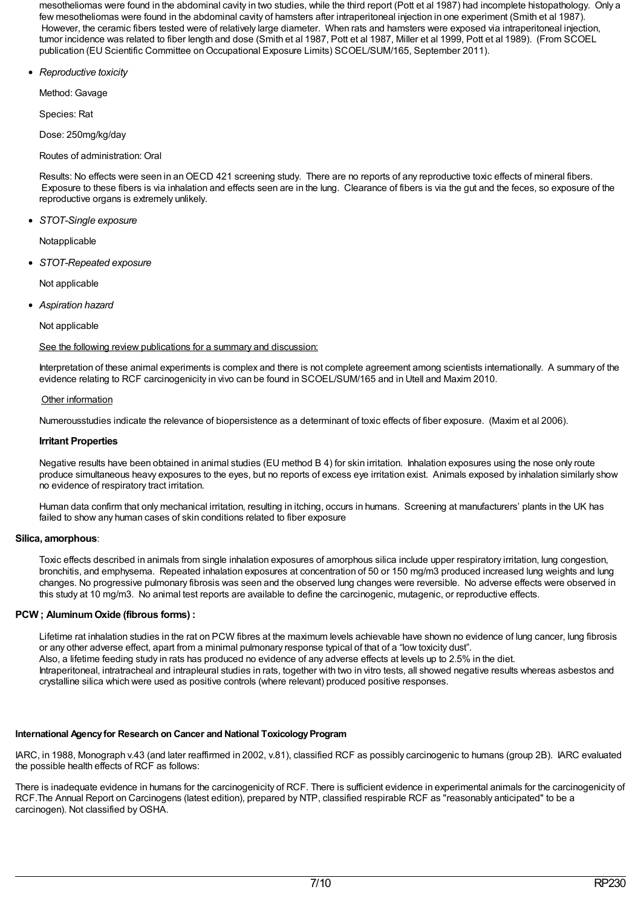mesotheliomas were found in the abdominal cavity in two studies, while the third report (Pott et al 1987) had incomplete histopathology. Only a few mesotheliomas were found in the abdominal cavity of hamsters after intraperitoneal injection in one experiment (Smith et al 1987). However, the ceramic fibers tested were of relatively large diameter. When rats and hamsters were exposed via intraperitoneal injection, tumor incidence was related to fiber length and dose (Smith et al 1987, Pott et al 1987, Miller et al 1999, Pott et al 1989). (From SCOEL publication (EU Scientific Committee on Occupational Exposure Limits) SCOEL/SUM/165, September 2011).

*Reproductive toxicity*

Method: Gavage

Species: Rat

Dose: 250mg/kg/day

Routes of administration: Oral

Results: No effects were seen in anOECD 421 screening study. There are no reports of any reproductive toxic effects of mineral fibers. Exposure to these fibers is via inhalation and effects seen are in the lung. Clearance of fibers is via the gut and the feces, so exposure of the reproductive organs is extremely unlikely.

*STOT-Single exposure*

Notapplicable

*STOT-Repeated exposure*

Not applicable

*Aspiration hazard*

Not applicable

See the following review publications for a summary and discussion:

Interpretation of these animal experiments is complex and there is not complete agreement among scientists internationally. A summary of the evidence relating to RCF carcinogenicity in vivo can be found in SCOEL/SUM/165 and in Utell and Maxim 2010.

### Other information

Numerousstudies indicate the relevance of biopersistence as a determinant of toxic effects of fiber exposure. (Maxim et al 2006).

### **Irritant Properties**

Negative results have been obtained in animal studies (EU method B 4) for skin irritation. Inhalation exposures using the nose only route produce simultaneous heavy exposures to the eyes, but no reports of excess eye irritation exist. Animals exposed by inhalation similarly show no evidence of respiratory tract irritation.

Human data confirm that only mechanical irritation, resulting in itching, occurs in humans. Screening at manufacturers' plants in the UK has failed to show any human cases of skin conditions related to fiber exposure

### **Silica, amorphous**:

Toxic effects described in animals from single inhalation exposures of amorphous silica include upper respiratory irritation, lung congestion, bronchitis, and emphysema. Repeated inhalation exposures at concentration of 50 or 150 mg/m3 produced increased lung weights and lung changes. No progressive pulmonary fibrosis was seen and the observed lung changes were reversible. No adverse effects were observed in this study at 10 mg/m3. No animal test reports are available to define the carcinogenic, mutagenic, or reproductive effects.

# **PCW ;AluminumOxide (fibrous forms) :**

Lifetime rat inhalation studies in the rat on PCW fibres at the maximum levels achievable have shown no evidence of lung cancer, lung fibrosis or any other adverse effect, apart from a minimal pulmonary response typical of that of a "low toxicity dust". Also, a lifetime feeding study in rats has produced no evidence of any adverse effects at levels up to 2.5% in the diet. Intraperitoneal, intratracheal and intrapleural studies in rats, together with two in vitro tests, all showed negative results whereas asbestos and crystalline silica which were used as positive controls (where relevant) produced positive responses.

### **International Agency for Research on Cancer and National Toxicology Program**

IARC, in 1988, Monograph v.43 (and later reaffirmed in 2002, v.81), classified RCF as possibly carcinogenic to humans (group 2B). IARC evaluated the possible health effects of RCF as follows:

There is inadequate evidence in humans for the carcinogenicity of RCF. There is sufficient evidence in experimental animals for the carcinogenicity of RCF.The Annual Report on Carcinogens (latest edition), prepared by NTP, classified respirable RCF as "reasonably anticipated" to be a carcinogen). Not classified by OSHA.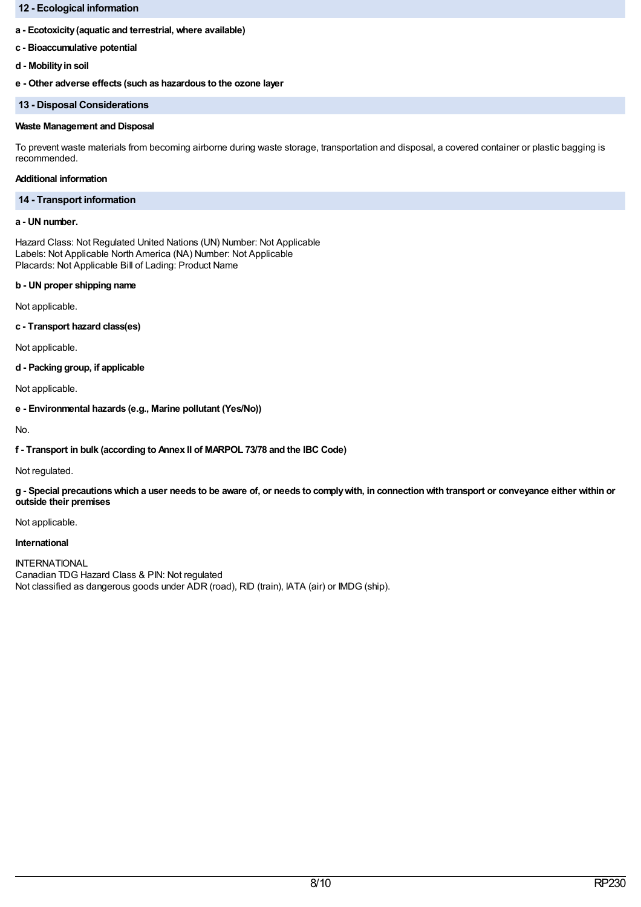# **12 - Ecological information**

### **a - Ecotoxicity(aquatic and terrestrial, where available)**

- **c - Bioaccumulative potential**
- **d - Mobilityin soil**

**e - Other adverse effects (such as hazardous to the ozone layer**

#### **13 - Disposal Considerations**

### **Waste Management and Disposal**

To prevent waste materials from becoming airborne during waste storage, transportation and disposal, a covered container or plastic bagging is recommended.

# **Additional information**

### **14 - Transport information**

# **a - UN number.**

Hazard Class: Not Regulated United Nations (UN) Number: Not Applicable Labels: Not Applicable North America (NA) Number: Not Applicable Placards: Not Applicable Bill of Lading: Product Name

### **b - UN proper shipping name**

Not applicable.

**c - Transport hazard class(es)**

Not applicable.

**d - Packing group, if applicable**

Not applicable.

**e - Environmental hazards (e.g., Marine pollutant (Yes/No))**

No.

**f - Transport in bulk (according to Annex II of MARPOL 73/78 and the IBC Code)**

Not regulated.

g - Special precautions which a user needs to be aware of, or needs to comply with, in connection with transport or conveyance either within or **outside their premises**

Not applicable.

### **International**

INTERNATIONAL Canadian TDG Hazard Class & PIN: Not regulated Not classified as dangerous goods under ADR (road), RID (train), IATA (air) or IMDG (ship).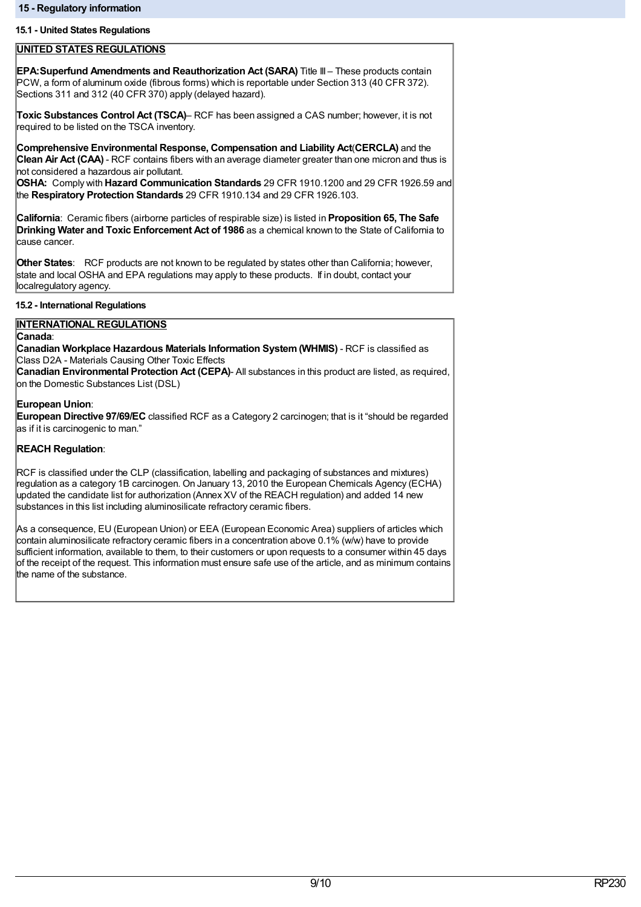### **15.1 - United States Regulations**

### **UNITED STATES REGULATIONS**

**EPA:Superfund Amendments and Reauthorization Act (SARA)** Title III – These products contain PCW, a form of aluminum oxide (fibrous forms) which is reportable under Section 313 (40 CFR 372). Sections 311 and 312 (40 CFR 370) apply (delayed hazard).

**Toxic Substances Control Act (TSCA)**– RCF has been assigned a CAS number; however, it is not required to be listed on the TSCA inventory.

**Comprehensive Environmental Response, Compensation and Liability Act**(**CERCLA)** and the **Clean Air Act (CAA)** - RCF contains fibers with an average diameter greater than one micron and thus is not considered a hazardous air pollutant.

**OSHA:** Comply with **Hazard Communication Standards** 29 CFR 1910.1200 and 29 CFR 1926.59 and the **Respiratory Protection Standards** 29 CFR 1910.134 and 29 CFR 1926.103.

**California**: Ceramic fibers (airborne particles of respirable size) is listed in **Proposition 65, The Safe Drinking Water and Toxic Enforcement Act of 1986** as a chemical known to the State of California to cause cancer.

**Other States**: RCF products are not known to be regulated by states other than California; however, state and local OSHA and EPA regulations may apply to these products. If in doubt, contact your localregulatory agency.

# **15.2 - International Regulations**

# **INTERNATIONAL REGULATIONS**

# **Canada**:

**Canadian Workplace Hazardous Materials Information System(WHMIS)** - RCF is classified as Class D2A - Materials Causing Other Toxic Effects

**Canadian Environmental Protection Act (CEPA)**- All substances in this product are listed, as required, on the Domestic Substances List (DSL)

# **European Union**:

**European Directive 97/69/EC** classified RCF as a Category 2 carcinogen; that is it "should be regarded as if it is carcinogenic to man."

# **REACH Regulation**:

RCF is classified under the CLP (classification, labelling and packaging of substances and mixtures) regulation as a category 1B carcinogen. On January 13, 2010 the European Chemicals Agency (ECHA) updated the candidate list for authorization (Annex XV of the REACH regulation) and added 14 new substances in this list including aluminosilicate refractory ceramic fibers.

As a consequence, EU (European Union) or EEA (European Economic Area) suppliers of articles which contain aluminosilicate refractory ceramic fibers in a concentration above 0.1% (w/w) have to provide sufficient information, available to them, to their customers or upon requests to a consumer within 45 days of the receipt of the request. This information must ensure safe use of the article, and as minimum contains the name of the substance.